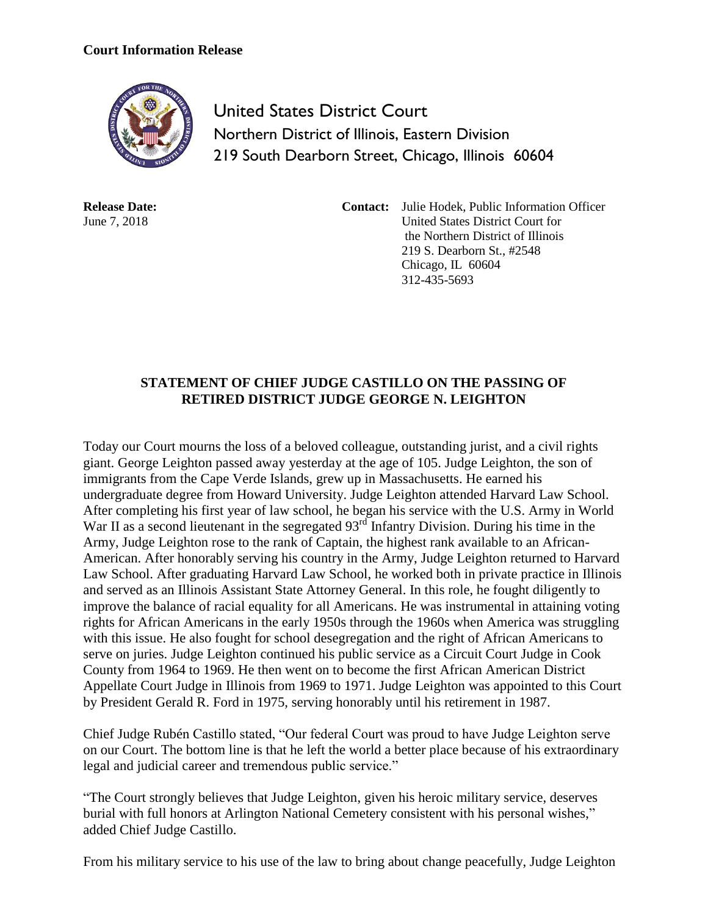## **Court Information Release**



United States District Court Northern District of Illinois, Eastern Division 219 South Dearborn Street, Chicago, Illinois 60604

**Release Date:** June 7, 2018

**Contact:** Julie Hodek, Public Information Officer United States District Court for the Northern District of Illinois 219 S. Dearborn St., #2548 Chicago, IL 60604 312-435-5693

## **STATEMENT OF CHIEF JUDGE CASTILLO ON THE PASSING OF RETIRED DISTRICT JUDGE GEORGE N. LEIGHTON**

Today our Court mourns the loss of a beloved colleague, outstanding jurist, and a civil rights giant. George Leighton passed away yesterday at the age of 105. Judge Leighton, the son of immigrants from the Cape Verde Islands, grew up in Massachusetts. He earned his undergraduate degree from Howard University. Judge Leighton attended Harvard Law School. After completing his first year of law school, he began his service with the U.S. Army in World War II as a second lieutenant in the segregated 93<sup>rd</sup> Infantry Division. During his time in the Army, Judge Leighton rose to the rank of Captain, the highest rank available to an African-American. After honorably serving his country in the Army, Judge Leighton returned to Harvard Law School. After graduating Harvard Law School, he worked both in private practice in Illinois and served as an Illinois Assistant State Attorney General. In this role, he fought diligently to improve the balance of racial equality for all Americans. He was instrumental in attaining voting rights for African Americans in the early 1950s through the 1960s when America was struggling with this issue. He also fought for school desegregation and the right of African Americans to serve on juries. Judge Leighton continued his public service as a Circuit Court Judge in Cook County from 1964 to 1969. He then went on to become the first African American District Appellate Court Judge in Illinois from 1969 to 1971. Judge Leighton was appointed to this Court by President Gerald R. Ford in 1975, serving honorably until his retirement in 1987.

Chief Judge Rubén Castillo stated, "Our federal Court was proud to have Judge Leighton serve on our Court. The bottom line is that he left the world a better place because of his extraordinary legal and judicial career and tremendous public service."

"The Court strongly believes that Judge Leighton, given his heroic military service, deserves burial with full honors at Arlington National Cemetery consistent with his personal wishes," added Chief Judge Castillo.

From his military service to his use of the law to bring about change peacefully, Judge Leighton